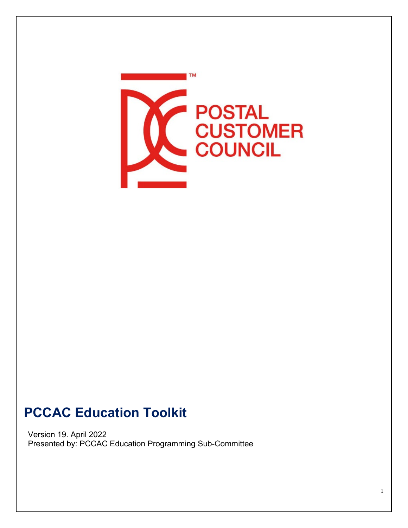

# **PCCAC Education Toolkit**

Version 19. April 2022 Presented by: PCCAC Education Programming Sub-Committee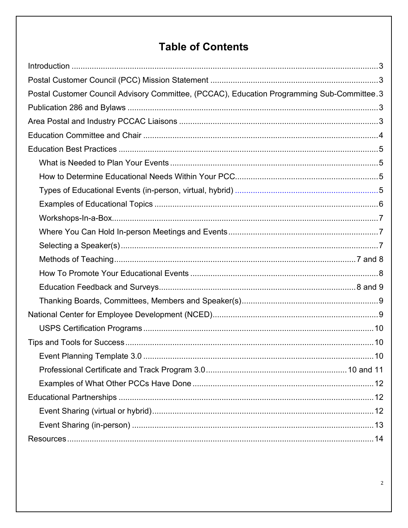# **Table of Contents**

| Postal Customer Council Advisory Committee, (PCCAC), Education Programming Sub-Committee.3 |  |
|--------------------------------------------------------------------------------------------|--|
|                                                                                            |  |
|                                                                                            |  |
|                                                                                            |  |
|                                                                                            |  |
|                                                                                            |  |
|                                                                                            |  |
|                                                                                            |  |
|                                                                                            |  |
|                                                                                            |  |
|                                                                                            |  |
|                                                                                            |  |
|                                                                                            |  |
|                                                                                            |  |
|                                                                                            |  |
|                                                                                            |  |
|                                                                                            |  |
|                                                                                            |  |
|                                                                                            |  |
|                                                                                            |  |
|                                                                                            |  |
|                                                                                            |  |
|                                                                                            |  |
|                                                                                            |  |
|                                                                                            |  |
|                                                                                            |  |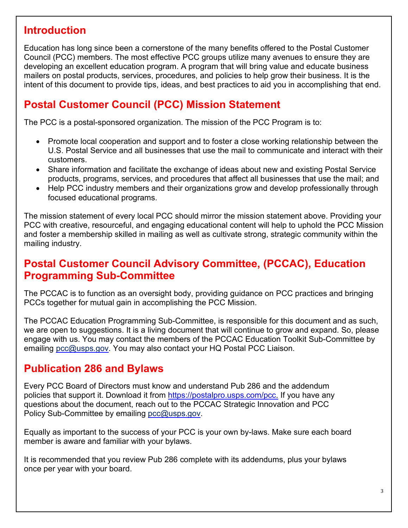### **Introduction**

Education has long since been a cornerstone of the many benefits offered to the Postal Customer Council (PCC) members. The most effective PCC groups utilize many avenues to ensure they are developing an excellent education program. A program that will bring value and educate business mailers on postal products, services, procedures, and policies to help grow their business. It is the intent of this document to provide tips, ideas, and best practices to aid you in accomplishing that end.

## <span id="page-2-0"></span>**Postal Customer Council (PCC) Mission Statement**

The PCC is a postal-sponsored organization. The mission of the PCC Program is to:

- Promote local cooperation and support and to foster a close working relationship between the U.S. Postal Service and all businesses that use the mail to communicate and interact with their customers.
- Share information and facilitate the exchange of ideas about new and existing Postal Service products, programs, services, and procedures that affect all businesses that use the mail; and
- Help PCC industry members and their organizations grow and develop professionally through focused educational programs.

The mission statement of every local PCC should mirror the mission statement above. Providing your PCC with creative, resourceful, and engaging educational content will help to uphold the PCC Mission and foster a membership skilled in mailing as well as cultivate strong, strategic community within the mailing industry.

### **Postal Customer Council Advisory Committee, (PCCAC), Education Programming Sub-Committee**

The PCCAC is to function as an oversight body, providing guidance on PCC practices and bringing PCCs together for mutual gain in accomplishing the PCC Mission.

The PCCAC Education Programming Sub-Committee, is responsible for this document and as such, we are open to suggestions. It is a living document that will continue to grow and expand. So, please engage with us. You may contact the members of the PCCAC Education Toolkit Sub-Committee by emailing [pcc@usps.gov.](mailto:pcc@usps.gov) You may also contact your HQ Postal PCC Liaison.

## <span id="page-2-1"></span>**Publication 286 and Bylaws**

Every PCC Board of Directors must know and understand Pub 286 and the addendum policies that support it. Download it from [https://postalpro.usps.com/pcc.](https://postalpro.usps.com/pcc) If you have any questions about the document, reach out to the PCCAC Strategic Innovation and PCC Policy Sub-Committee by emailing [pcc@usps.gov.](mailto:pcc@usps.gov)

Equally as important to the success of your PCC is your own by-laws. Make sure each board member is aware and familiar with your bylaws.

It is recommended that you review Pub 286 complete with its addendums, plus your bylaws once per year with your board.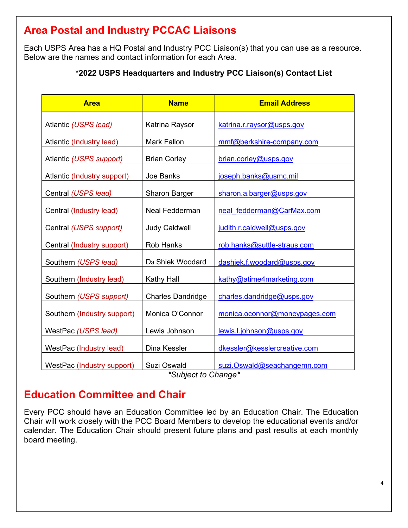# **Area Postal and Industry PCCAC Liaisons**

Each USPS Area has a HQ Postal and Industry PCC Liaison(s) that you can use as a resource. Below are the names and contact information for each Area.

#### **\*2022 USPS Headquarters and Industry PCC Liaison(s) Contact List**

<span id="page-3-0"></span>

| <b>Area</b>                 | <b>Name</b>              | <b>Email Address</b>          |
|-----------------------------|--------------------------|-------------------------------|
| Atlantic (USPS lead)        | Katrina Raysor           | katrina.r.raysor@usps.gov     |
| Atlantic (Industry lead)    | <b>Mark Fallon</b>       | mmf@berkshire-company.com     |
| Atlantic (USPS support)     | <b>Brian Corley</b>      | brian.corley@usps.gov         |
| Atlantic (Industry support) | Joe Banks                | joseph.banks@usmc.mil         |
| Central (USPS lead)         | <b>Sharon Barger</b>     | sharon.a.barger@usps.gov      |
| Central (Industry lead)     | Neal Fedderman           | neal fedderman@CarMax.com     |
| Central (USPS support)      | <b>Judy Caldwell</b>     | judith.r.caldwell@usps.gov    |
| Central (Industry support)  | <b>Rob Hanks</b>         | rob.hanks@suttle-straus.com   |
| Southern (USPS lead)        | Da Shiek Woodard         | dashiek.f.woodard@usps.gov    |
| Southern (Industry lead)    | <b>Kathy Hall</b>        | kathy@atime4marketing.com     |
| Southern (USPS support)     | <b>Charles Dandridge</b> | charles.dandridge@usps.gov    |
| Southern (Industry support) | Monica O'Connor          | monica.oconnor@moneypages.com |
| WestPac (USPS lead)         | Lewis Johnson            | lewis.l.johnson@usps.gov      |
| WestPac (Industry lead)     | Dina Kessler             | dkessler@kesslercreative.com  |
| WestPac (Industry support)  | Suzi Oswald              | suzi.Oswald@seachangemn.com   |

*\*Subject to Change\**

## **Education Committee and Chair**

Every PCC should have an Education Committee led by an Education Chair. The Education Chair will work closely with the PCC Board Members to develop the educational events and/or calendar. The Education Chair should present future plans and past results at each monthly board meeting.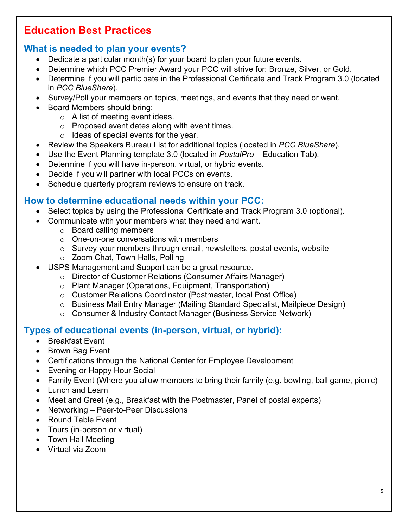# **Education Best Practices**

### **What is needed to plan your events?**

- Dedicate a particular month(s) for your board to plan your future events.
- Determine which PCC Premier Award your PCC will strive for: Bronze, Silver, or Gold.
- Determine if you will participate in the Professional Certificate and Track Program 3.0 (located in *PCC BlueShare*).
- Survey/Poll your members on topics, meetings, and events that they need or want.
- Board Members should bring:
	- o A list of meeting event ideas.
	- o Proposed event dates along with event times.
	- $\circ$  Ideas of special events for the year.
- Review the Speakers Bureau List for additional topics (located in *PCC BlueShare*).
- Use the Event Planning template 3.0 (located in *PostalPro* Education Tab).
- Determine if you will have in-person, virtual, or hybrid events.
- Decide if you will partner with local PCCs on events.
- Schedule quarterly program reviews to ensure on track.

### **How to determine educational needs within your PCC:**

- Select topics by using the Professional Certificate and Track Program 3.0 (optional).
- Communicate with your members what they need and want.
	- o Board calling members
	- o One-on-one conversations with members
	- o Survey your members through email, newsletters, postal events, website
	- o Zoom Chat, Town Halls, Polling
- USPS Management and Support can be a great resource.
	- o Director of Customer Relations (Consumer Affairs Manager)
	- o Plant Manager (Operations, Equipment, Transportation)
	- o Customer Relations Coordinator (Postmaster, local Post Office)
	- o Business Mail Entry Manager (Mailing Standard Specialist, Mailpiece Design)
	- o Consumer & Industry Contact Manager (Business Service Network)

## **Types of educational events (in-person, virtual, or hybrid):**

- Breakfast Event
- Brown Bag Event
- Certifications through the National Center for Employee Development
- Evening or Happy Hour Social
- Family Event (Where you allow members to bring their family (e.g. bowling, ball game, picnic)
- Lunch and Learn
- Meet and Greet (e.g., Breakfast with the Postmaster, Panel of postal experts)
- Networking Peer-to-Peer Discussions
- Round Table Event
- Tours (in-person or virtual)
- Town Hall Meeting
- Virtual via Zoom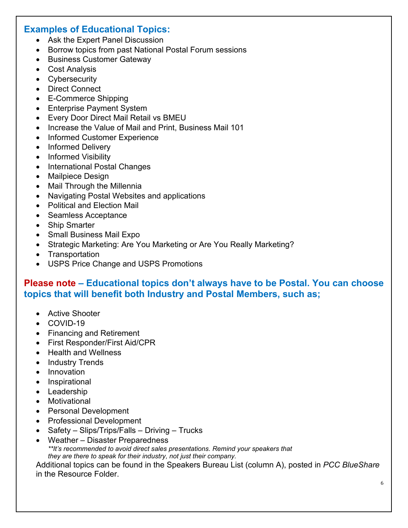#### **Examples of Educational Topics:**

- Ask the Expert Panel Discussion
- Borrow topics from past National Postal Forum sessions
- Business Customer Gateway
- Cost Analysis
- Cybersecurity
- Direct Connect
- E-Commerce Shipping
- Enterprise Payment System
- Every Door Direct Mail Retail vs BMEU
- Increase the Value of Mail and Print, Business Mail 101
- Informed Customer Experience
- Informed Delivery
- Informed Visibility
- International Postal Changes
- Mailpiece Design
- Mail Through the Millennia
- Navigating Postal Websites and applications
- Political and Election Mail
- Seamless Acceptance
- Ship Smarter
- Small Business Mail Expo
- Strategic Marketing: Are You Marketing or Are You Really Marketing?
- Transportation
- USPS Price Change and USPS Promotions

#### **Please note – Educational topics don't always have to be Postal. You can choose topics that will benefit both Industry and Postal Members, such as;**

- Active Shooter
- COVID-19
- Financing and Retirement
- First Responder/First Aid/CPR
- Health and Wellness
- Industry Trends
- Innovation
- Inspirational
- Leadership
- Motivational
- Personal Development
- Professional Development
- Safety Slips/Trips/Falls Driving Trucks
- Weather Disaster Preparedness *\*\*It's recommended to avoid direct sales presentations. Remind your speakers that they are there to speak for their industry, not just their company.*

Additional topics can be found in the Speakers Bureau List (column A), posted in *PCC BlueShare* in the Resource Folder.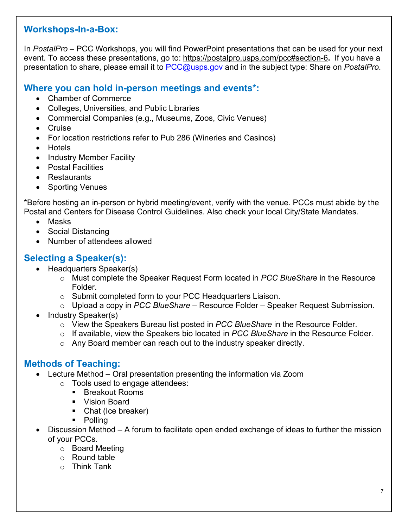#### **Workshops-In-a-Box:**

In *PostalPro* – PCC Workshops, you will find PowerPoint presentations that can be used for your next event. To access these presentations, go to:<https://postalpro.usps.com/pcc#section-6>**.** If you have a presentation to share, please email it to [PCC@usps.gov](mailto:PCC@usps.gov) and in the subject type: Share on *PostalPro*.

#### **Where you can hold in-person meetings and events\*:**

- Chamber of Commerce
- Colleges, Universities, and Public Libraries
- Commercial Companies (e.g., Museums, Zoos, Civic Venues)
- Cruise
- For location restrictions refer to Pub 286 (Wineries and Casinos)
- Hotels
- Industry Member Facility
- Postal Facilities
- Restaurants
- **Sporting Venues**

\*Before hosting an in-person or hybrid meeting/event, verify with the venue. PCCs must abide by the Postal and Centers for Disease Control Guidelines. Also check your local City/State Mandates.

- Masks
- Social Distancing
- Number of attendees allowed

#### **Selecting a Speaker(s):**

- Headquarters Speaker(s)
	- o Must complete the Speaker Request Form located in *PCC BlueShare* in the Resource Folder.
	- o Submit completed form to your PCC Headquarters Liaison.
	- o Upload a copy in *PCC BlueShare –* Resource Folder Speaker Request Submission*.*
- Industry Speaker(s)
	- o View the Speakers Bureau list posted in *PCC BlueShare* in the Resource Folder.
	- o If available, view the Speakers bio located in *PCC BlueShare* in the Resource Folder.
	- o Any Board member can reach out to the industry speaker directly.

#### **Methods of Teaching:**

- Lecture Method Oral presentation presenting the information via Zoom
	- o Tools used to engage attendees:
		- Breakout Rooms
		- **Vision Board**
		- Chat (Ice breaker)
		- Polling
- Discussion Method A forum to facilitate open ended exchange of ideas to further the mission of your PCCs.
	- o Board Meeting
	- o Round table
	- o Think Tank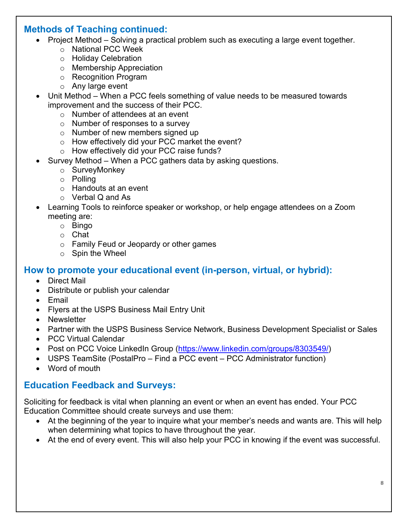#### **Methods of Teaching continued:**

- Project Method Solving a practical problem such as executing a large event together.
	- o National PCC Week
	- o Holiday Celebration
	- o Membership Appreciation
	- o Recognition Program
	- o Any large event
- Unit Method When a PCC feels something of value needs to be measured towards improvement and the success of their PCC.
	- o Number of attendees at an event
	- o Number of responses to a survey
	- o Number of new members signed up
	- o How effectively did your PCC market the event?
	- o How effectively did your PCC raise funds?
- Survey Method When a PCC gathers data by asking questions.
	- o SurveyMonkey
	- o Polling
	- o Handouts at an event
	- o Verbal Q and As
- Learning Tools to reinforce speaker or workshop, or help engage attendees on a Zoom meeting are:
	- o Bingo
	- o Chat
	- o Family Feud or Jeopardy or other games
	- o Spin the Wheel

#### **How to promote your educational event (in-person, virtual, or hybrid):**

- Direct Mail
- Distribute or publish your calendar
- Email
- Flyers at the USPS Business Mail Entry Unit
- Newsletter
- Partner with the USPS Business Service Network, Business Development Specialist or Sales
- PCC Virtual Calendar
- Post on PCC Voice LinkedIn Group [\(https://www.linkedin.com/groups/8303549/\)](https://www.linkedin.com/groups/8303549/)
- USPS TeamSite (PostalPro Find a PCC event PCC Administrator function)
- Word of mouth

#### **Education Feedback and Surveys:**

Soliciting for feedback is vital when planning an event or when an event has ended. Your PCC Education Committee should create surveys and use them:

- At the beginning of the year to inquire what your member's needs and wants are. This will help when determining what topics to have throughout the year.
- At the end of every event. This will also help your PCC in knowing if the event was successful.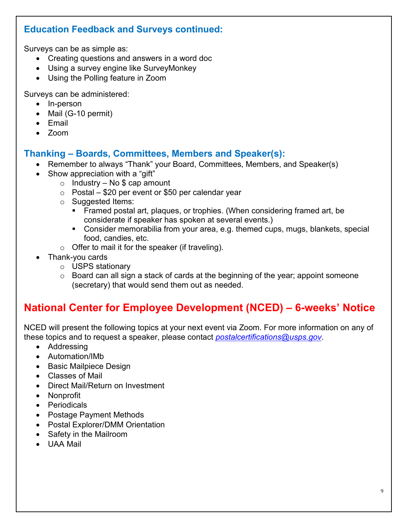#### **Education Feedback and Surveys continued:**

Surveys can be as simple as:

- Creating questions and answers in a word doc
- Using a survey engine like SurveyMonkey
- Using the Polling feature in Zoom

Surveys can be administered:

- In-person
- Mail (G-10 permit)
- Email
- Zoom

#### **Thanking – Boards, Committees, Members and Speaker(s):**

- Remember to always "Thank" your Board, Committees, Members, and Speaker(s)
- Show appreciation with a "gift"
	- $\circ$  Industry No \$ cap amount
	- $\circ$  Postal \$20 per event or \$50 per calendar year
	- o Suggested Items:
		- Framed postal art, plaques, or trophies. (When considering framed art, be considerate if speaker has spoken at several events.)
		- Consider memorabilia from your area, e.g. themed cups, mugs, blankets, special food, candies, etc.
	- $\circ$  Offer to mail it for the speaker (if traveling).
- Thank-you cards
	- o USPS stationary
	- o Board can all sign a stack of cards at the beginning of the year; appoint someone (secretary) that would send them out as needed.

# **National Center for Employee Development (NCED) – 6-weeks' Notice**

NCED will present the following topics at your next event via Zoom. For more information on any of these topics and to request a speaker, please contact *[postalcertifications@usps.gov](mailto:postalcertifications@usps.gov)*.

- Addressing
- Automation/IMb
- Basic Mailpiece Design
- Classes of Mail
- Direct Mail/Return on Investment
- Nonprofit
- Periodicals
- Postage Payment Methods
- Postal Explorer/DMM Orientation
- Safety in the Mailroom
- UAA Mail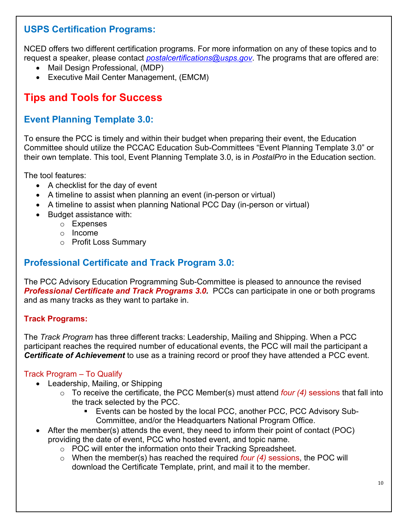#### **USPS Certification Programs:**

NCED offers two different certification programs. For more information on any of these topics and to request a speaker, please contact *[postalcertifications@usps.gov](mailto:postalcertifications@usps.gov)*. The programs that are offered are:

- Mail Design Professional, (MDP)
- Executive Mail Center Management, (EMCM)

# **Tips and Tools for Success**

#### **Event Planning Template 3.0:**

<span id="page-9-2"></span>To ensure the PCC is timely and within their budget when preparing their event, the Education Committee should utilize the PCCAC Education Sub-Committees "Event Planning Template 3.0" or their own template. This tool, Event Planning Template 3.0, is in *PostalPro* in the Education section.

<span id="page-9-1"></span>The tool features:

- A checklist for the day of event
- <span id="page-9-3"></span>• A timeline to assist when planning an event (in-person or virtual)
- A timeline to assist when planning National PCC Day (in-person or virtual)
- Budget assistance with:
	- o Expenses
	- o Income
	- o Profit Loss Summary

#### <span id="page-9-0"></span>**Professional Certificate and Track Program 3.0:**

The PCC Advisory Education Programming Sub-Committee is pleased to announce the revised **Professional Certificate and Track Programs 3.0.** PCCs can participate in one or both programs and as many tracks as they want to partake in.

#### **Track Programs:**

The *Track Program* has three different tracks: Leadership, Mailing and Shipping. When a PCC participant reaches the required number of educational events, the PCC will mail the participant a *Certificate of Achievement* to use as a training record or proof they have attended a PCC event.

#### Track Program – To Qualify

- Leadership, Mailing, or Shipping
	- o To receive the certificate, the PCC Member(s) must attend *four (4)* sessions that fall into the track selected by the PCC.
		- Events can be hosted by the local PCC, another PCC, PCC Advisory Sub-Committee, and/or the Headquarters National Program Office.
- After the member(s) attends the event, they need to inform their point of contact (POC) providing the date of event, PCC who hosted event, and topic name.
	- $\circ$  POC will enter the information onto their Tracking Spreadsheet.
	- o When the member(s) has reached the required *four (4)* sessions, the POC will download the Certificate Template, print, and mail it to the member.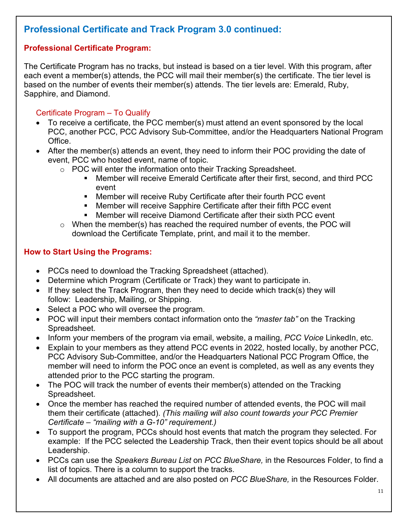### **Professional Certificate and Track Program 3.0 continued:**

#### **Professional Certificate Program:**

The Certificate Program has no tracks, but instead is based on a tier level. With this program, after each event a member(s) attends, the PCC will mail their member(s) the certificate. The tier level is based on the number of events their member(s) attends. The tier levels are: Emerald, Ruby, Sapphire, and Diamond.

#### Certificate Program – To Qualify

- To receive a certificate, the PCC member(s) must attend an event sponsored by the local PCC, another PCC, PCC Advisory Sub-Committee, and/or the Headquarters National Program Office.
- After the member(s) attends an event, they need to inform their POC providing the date of event, PCC who hosted event, name of topic.
	- o POC will enter the information onto their Tracking Spreadsheet.<br>Member will receive Emerald Certificate after their first se
		- Member will receive Emerald Certificate after their first, second, and third PCC event
		- Member will receive Ruby Certificate after their fourth PCC event
		- **EXECT** Member will receive Sapphire Certificate after their fifth PCC event
		- Member will receive Diamond Certificate after their sixth PCC event
	- $\circ$  When the member(s) has reached the required number of events, the POC will download the Certificate Template, print, and mail it to the member.

#### **How to Start Using the Programs:**

- PCCs need to download the Tracking Spreadsheet (attached).
- Determine which Program (Certificate or Track) they want to participate in.
- If they select the Track Program, then they need to decide which track(s) they will follow: Leadership, Mailing, or Shipping.
- Select a POC who will oversee the program.
- POC will input their members contact information onto the *"master tab"* on the Tracking Spreadsheet.
- Inform your members of the program via email, website, a mailing, *PCC Voice* LinkedIn, etc.
- Explain to your members as they attend PCC events in 2022, hosted locally, by another PCC, PCC Advisory Sub-Committee, and/or the Headquarters National PCC Program Office, the member will need to inform the POC once an event is completed, as well as any events they attended prior to the PCC starting the program.
- The POC will track the number of events their member(s) attended on the Tracking Spreadsheet.
- Once the member has reached the required number of attended events, the POC will mail them their certificate (attached). *(This mailing will also count towards your PCC Premier Certificate – "mailing with a G-10" requirement.)*
- To support the program, PCCs should host events that match the program they selected. For example: If the PCC selected the Leadership Track, then their event topics should be all about Leadership.
- PCCs can use the *Speakers Bureau List* on *PCC BlueShare,* in the Resources Folder, to find a list of topics. There is a column to support the tracks.
- All documents are attached and are also posted on *PCC BlueShare,* in the Resources Folder.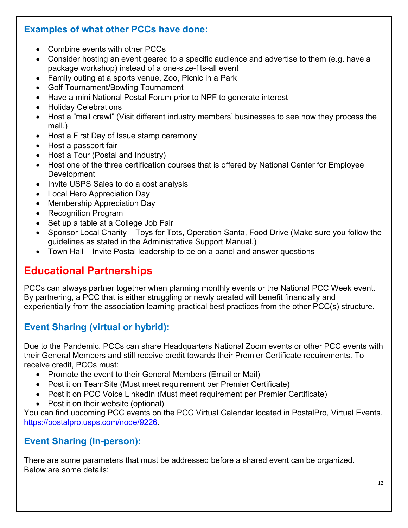#### **Examples of what other PCCs have done:**

- Combine events with other PCCs
- Consider hosting an event geared to a specific audience and advertise to them (e.g. have a package workshop) instead of a one-size-fits-all event
- Family outing at a sports venue, Zoo, Picnic in a Park
- Golf Tournament/Bowling Tournament
- Have a mini National Postal Forum prior to NPF to generate interest
- Holiday Celebrations
- Host a "mail crawl" (Visit different industry members' businesses to see how they process the mail.)
- Host a First Day of Issue stamp ceremony
- Host a passport fair
- Host a Tour (Postal and Industry)
- Host one of the three certification courses that is offered by National Center for Employee Development
- Invite USPS Sales to do a cost analysis
- Local Hero Appreciation Day
- Membership Appreciation Day
- Recognition Program
- Set up a table at a College Job Fair
- Sponsor Local Charity Toys for Tots, Operation Santa, Food Drive (Make sure you follow the guidelines as stated in the Administrative Support Manual.)
- Town Hall Invite Postal leadership to be on a panel and answer questions

## **Educational Partnerships**

PCCs can always partner together when planning monthly events or the National PCC Week event. By partnering, a PCC that is either struggling or newly created will benefit financially and experientially from the association learning practical best practices from the other PCC(s) structure.

### <span id="page-11-0"></span>**Event Sharing (virtual or hybrid):**

Due to the Pandemic, PCCs can share Headquarters National Zoom events or other PCC events with their General Members and still receive credit towards their Premier Certificate requirements. To receive credit, PCCs must:

- Promote the event to their General Members (Email or Mail)
- Post it on TeamSite (Must meet requirement per Premier Certificate)
- Post it on PCC Voice LinkedIn (Must meet requirement per Premier Certificate)
- Post it on their website (optional)

You can find upcoming PCC events on the PCC Virtual Calendar located in PostalPro, Virtual Events. [https://postalpro.usps.com/node/9226.](https://gcc02.safelinks.protection.outlook.com/?url=https%3A%2F%2Fpostalpro.usps.com%2Fnode%2F9226&data=04%7C01%7CCathy.M.Scocco%40usps.gov%7C3cb8228388f6447d7b6108d8cfa4b36a%7Cf9aa5788eb334a498ad076101910cac3%7C0%7C0%7C637487653572486877%7CUnknown%7CTWFpbGZsb3d8eyJWIjoiMC4wLjAwMDAiLCJQIjoiV2luMzIiLCJBTiI6Ik1haWwiLCJXVCI6Mn0%3D%7C1000&sdata=KhavnAe4bAUBxRnd5djjzKfeVLnGR6TCWBa0BRChdec%3D&reserved=0)

#### **Event Sharing (In-person):**

There are some parameters that must be addressed before a shared event can be organized. Below are some details: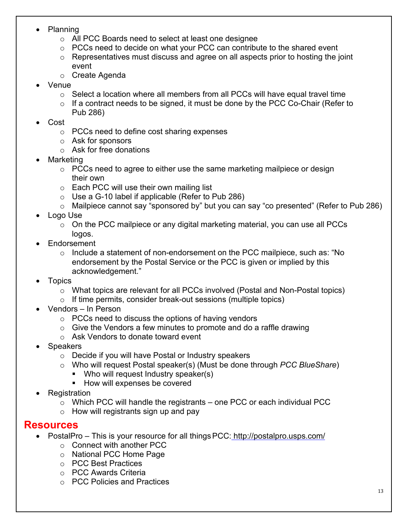- Planning
	- o All PCC Boards need to select at least one designee
	- o PCCs need to decide on what your PCC can contribute to the shared event
	- $\circ$  Representatives must discuss and agree on all aspects prior to hosting the joint event
	- o Create Agenda
- Venue
	- $\circ$  Select a location where all members from all PCCs will have equal travel time
	- $\circ$  If a contract needs to be signed, it must be done by the PCC Co-Chair (Refer to Pub 286)
- Cost
	- o PCCs need to define cost sharing expenses
	- o Ask for sponsors
	- o Ask for free donations
- **Marketing** 
	- o PCCs need to agree to either use the same marketing mailpiece or design their own
	- $\circ$  Each PCC will use their own mailing list
	- $\circ$  Use a G-10 label if applicable (Refer to Pub 286)
	- o Mailpiece cannot say "sponsored by" but you can say "co presented" (Refer to Pub 286)
- Logo Use
	- $\circ$  On the PCC mailpiece or any digital marketing material, you can use all PCCs logos.
- **Endorsement** 
	- o Include a statement of non-endorsement on the PCC mailpiece, such as: "No endorsement by the Postal Service or the PCC is given or implied by this acknowledgement."
- Topics
	- o What topics are relevant for all PCCs involved (Postal and Non-Postal topics)
	- o If time permits, consider break-out sessions (multiple topics)
- Vendors In Person
	- $\circ$  PCCs need to discuss the options of having vendors
	- $\circ$  Give the Vendors a few minutes to promote and do a raffle drawing
	- $\circ$  Ask Vendors to donate toward event
- Speakers
	- o Decide if you will have Postal or Industry speakers
	- o Who will request Postal speaker(s) (Must be done through *PCC BlueShare*)
		- Who will request Industry speaker(s)
		- **How will expenses be covered**
- **Registration** 
	- $\circ$  Which PCC will handle the registrants one PCC or each individual PCC
	- $\circ$  How will registrants sign up and pay

#### **Resources**

- PostalPro This is your resource for all things PCC: <http://postalpro.usps.com/>
	- o Connect with another PCC
	- o National PCC Home Page
	- o PCC Best Practices
	- o PCC Awards Criteria
	- o PCC Policies and Practices